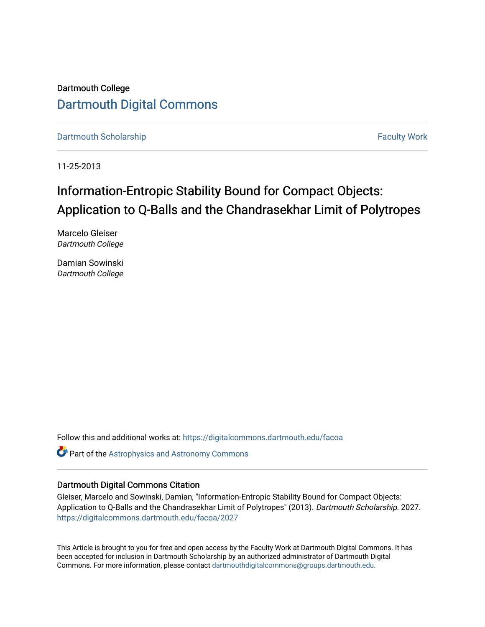Dartmouth College [Dartmouth Digital Commons](https://digitalcommons.dartmouth.edu/) 

[Dartmouth Scholarship](https://digitalcommons.dartmouth.edu/facoa) Faculty Work

11-25-2013

# Information-Entropic Stability Bound for Compact Objects: Application to Q-Balls and the Chandrasekhar Limit of Polytropes

Marcelo Gleiser Dartmouth College

Damian Sowinski Dartmouth College

Follow this and additional works at: [https://digitalcommons.dartmouth.edu/facoa](https://digitalcommons.dartmouth.edu/facoa?utm_source=digitalcommons.dartmouth.edu%2Ffacoa%2F2027&utm_medium=PDF&utm_campaign=PDFCoverPages)

**C** Part of the Astrophysics and Astronomy Commons

# Dartmouth Digital Commons Citation

Gleiser, Marcelo and Sowinski, Damian, "Information-Entropic Stability Bound for Compact Objects: Application to Q-Balls and the Chandrasekhar Limit of Polytropes" (2013). Dartmouth Scholarship. 2027. [https://digitalcommons.dartmouth.edu/facoa/2027](https://digitalcommons.dartmouth.edu/facoa/2027?utm_source=digitalcommons.dartmouth.edu%2Ffacoa%2F2027&utm_medium=PDF&utm_campaign=PDFCoverPages) 

This Article is brought to you for free and open access by the Faculty Work at Dartmouth Digital Commons. It has been accepted for inclusion in Dartmouth Scholarship by an authorized administrator of Dartmouth Digital Commons. For more information, please contact [dartmouthdigitalcommons@groups.dartmouth.edu](mailto:dartmouthdigitalcommons@groups.dartmouth.edu).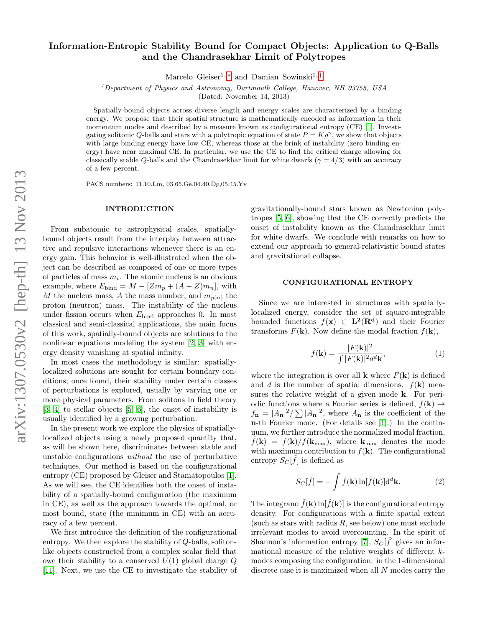# Information-Entropic Stability Bound for Compact Objects: Application to Q-Balls and the Chandrasekhar Limit of Polytropes

Marcelo Gleiser<sup>1,\*</sup> and Damian Sowinski<sup>1,[†](#page-4-1)</sup>

<sup>1</sup>Department of Physics and Astronomy, Dartmouth College, Hanover, NH 03755, USA

(Dated: November 14, 2013)

Spatially-bound objects across diverse length and energy scales are characterized by a binding energy. We propose that their spatial structure is mathematically encoded as information in their momentum modes and described by a measure known as configurational entropy (CE) [\[1\]](#page-4-2). Investigating solitonic Q-balls and stars with a polytropic equation of state  $P = K\rho^{\gamma}$ , we show that objects with large binding energy have low CE, whereas those at the brink of instability (zero binding energy) have near maximal CE. In particular, we use the CE to find the critical charge allowing for classically stable Q-balls and the Chandrasekhar limit for white dwarfs ( $\gamma = 4/3$ ) with an accuracy of a few percent.

PACS numbers: 11.10.Lm, 03.65.Ge,04.40.Dg,05.45.Yv

### INTRODUCTION

From subatomic to astrophysical scales, spatiallybound objects result from the interplay between attractive and repulsive interactions whenever there is an energy gain. This behavior is well-illustrated when the object can be described as composed of one or more types of particles of mass  $m_i$ . The atomic nucleus is an obvious example, where  $E_{\text{bind}} = M - [Zm_p + (A - Z)m_n]$ , with M the nucleus mass, A the mass number, and  $m_{p(n)}$  the proton (neutron) mass. The instability of the nucleus under fission occurs when  $E_{\text{bind}}$  approaches 0. In most classical and semi-classical applications, the main focus of this work, spatially-bound objects are solutions to the nonlinear equations modeling the system [\[2,](#page-4-3) [3\]](#page-4-4) with energy density vanishing at spatial infinity.

In most cases the methodology is similar: spatiallylocalized solutions are sought for certain boundary conditions; once found, their stability under certain classes of perturbations is explored, usually by varying one or more physical parameters. From solitons in field theory [\[3,](#page-4-4) [4\]](#page-4-5) to stellar objects [\[5,](#page-4-6) [6\]](#page-4-7), the onset of instability is usually identified by a growing perturbation.

In the present work we explore the physics of spatiallylocalized objects using a newly proposed quantity that, as will be shown here, discriminates between stable and unstable configurations without the use of perturbative techniques. Our method is based on the configurational entropy (CE) proposed by Gleiser and Stamatopoulos [\[1\]](#page-4-2). As we will see, the CE identifies both the onset of instability of a spatially-bound configuration (the maximum in CE), as well as the approach towards the optimal, or most bound, state (the minimum in CE) with an accuracy of a few percent.

We first introduce the definition of the configurational entropy. We then explore the stability of Q-balls, solitonlike objects constructed from a complex scalar field that owe their stability to a conserved  $U(1)$  global charge  $Q$ [\[11\]](#page-4-8). Next, we use the CE to investigate the stability of gravitationally-bound stars known as Newtonian polytropes [\[5,](#page-4-6) [6\]](#page-4-7), showing that the CE correctly predicts the onset of instability known as the Chandrasekhar limit for white dwarfs. We conclude with remarks on how to extend our approach to general-relativistic bound states and gravitational collapse.

#### CONFIGURATIONAL ENTROPY

Since we are interested in structures with spatiallylocalized energy, consider the set of square-integrable bounded functions  $f(\mathbf{x}) \in \mathbf{L}^2(\mathbf{R}^d)$  and their Fourier transforms  $F(\mathbf{k})$ . Now define the modal fraction  $f(\mathbf{k})$ ,

$$
f(\mathbf{k}) = \frac{|F(\mathbf{k})|^2}{\int |F(\mathbf{k})|^2 d^d \mathbf{k}},\tag{1}
$$

where the integration is over all **k** where  $F(\mathbf{k})$  is defined and d is the number of spatial dimensions.  $f(\mathbf{k})$  measures the relative weight of a given mode k. For periodic functions where a Fourier series is defined,  $f(\mathbf{k}) \rightarrow$  $f_{\mathbf{n}} = |A_{\mathbf{n}}|^2 / \sum |A_{\mathbf{n}}|^2$ , where  $A_{\mathbf{n}}$  is the coefficient of the n-th Fourier mode. (For details see [\[1\]](#page-4-2).) In the continuum, we further introduce the normalized modal fraction,  $f(\mathbf{k}) = f(\mathbf{k})/f(\mathbf{k}_{\text{max}})$ , where  $\mathbf{k}_{\text{max}}$  denotes the mode with maximum contribution to  $f(\mathbf{k})$ . The configurational entropy  $S_C[\tilde{f}]$  is defined as

<span id="page-1-0"></span>
$$
S_C[\tilde{f}] = -\int \tilde{f}(\mathbf{k}) \ln[\tilde{f}(\mathbf{k})] d^d \mathbf{k}.
$$
 (2)

The integrand  $\tilde{f}(\mathbf{k})$  ln $[\tilde{f}(\mathbf{k})]$  is the configurational entropy density. For configurations with a finite spatial extent (such as stars with radius  $R$ , see below) one must exclude irrelevant modes to avoid overcounting. In the spirit of Shannon's information entropy [\[7\]](#page-4-9),  $S_C[\tilde{f}]$  gives an informational measure of the relative weights of different kmodes composing the configuration: in the 1-dimensional discrete case it is maximized when all N modes carry the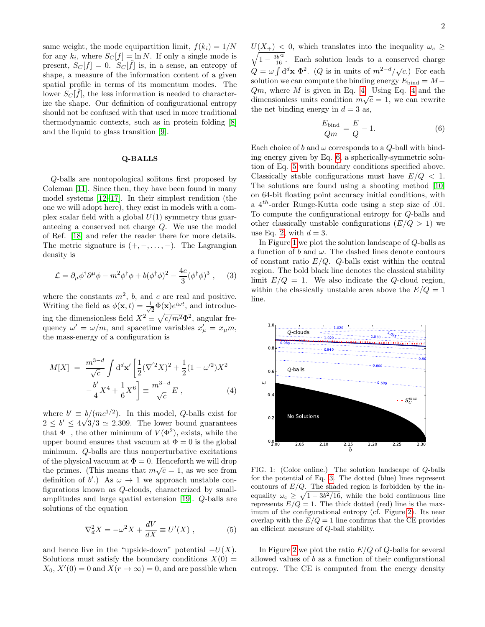same weight, the mode equipartition limit,  $f(k_i) = 1/N$ for any  $k_i$ , where  $S_C[f] = \ln N$ . If only a single mode is present,  $S_C[f] = 0$ .  $S_C[\tilde{f}]$  is, in a sense, an entropy of shape, a measure of the information content of a given spatial profile in terms of its momentum modes. The lower  $S_C[\tilde{f}]$ , the less information is needed to characterize the shape. Our definition of configurational entropy should not be confused with that used in more traditional thermodynamic contexts, such as in protein folding [\[8\]](#page-4-10) and the liquid to glass transition [\[9\]](#page-4-11).

#### Q-BALLS

Q-balls are nontopological solitons first proposed by Coleman [\[11\]](#page-4-8). Since then, they have been found in many model systems [\[12–](#page-4-12)[17\]](#page-5-0). In their simplest rendition (the one we will adopt here), they exist in models with a complex scalar field with a global  $U(1)$  symmetry thus guaranteeing a conserved net charge Q. We use the model of Ref. [\[18\]](#page-5-1) and refer the reader there for more details. The metric signature is  $(+,-,\ldots,-)$ . The Lagrangian density is

<span id="page-2-4"></span>
$$
\mathcal{L} = \partial_{\mu}\phi^{\dagger}\partial^{\mu}\phi - m^{2}\phi^{\dagger}\phi + b(\phi^{\dagger}\phi)^{2} - \frac{4c}{3}(\phi^{\dagger}\phi)^{3} , \quad (3)
$$

where the constants  $m^2$ , b, and c are real and positive. Writing the field as  $\phi(\mathbf{x},t) = \frac{1}{\sqrt{2}}$  $\frac{1}{2}\Phi(\mathbf{x})e^{i\omega t}$ , and introducing the dimensionless field  $X^2 \equiv \sqrt{c/m^2} \Phi^2$ , angular frequency  $\omega' = \omega/m$ , and spacetime variables  $x'_{\mu} = x_{\mu}m$ , the mass-energy of a configuration is

<span id="page-2-0"></span>
$$
M[X] = \frac{m^{3-d}}{\sqrt{c}} \int d^d \mathbf{x}' \left[ \frac{1}{2} (\nabla^{'2} X)^2 + \frac{1}{2} (1 - \omega'^2) X^2 - \frac{b'}{4} X^4 + \frac{1}{6} X^6 \right] \equiv \frac{m^{3-d}}{\sqrt{c}} E , \qquad (4)
$$

where  $b' \equiv b/(mc^{1/2})$ . In this model, Q-balls exist for  $2 \leq b' \leq 4\sqrt{3}/3 \simeq 2.309$ . The lower bound guarantees that  $\Phi_+$ , the other minimum of  $V(\Phi^2)$ , exists, while the upper bound ensures that vacuum at  $\Phi = 0$  is the global minimum. Q-balls are thus nonperturbative excitations of the physical vacuum at  $\Phi = 0$ . Henceforth we will drop the primes. (This means that  $m\sqrt{c} = 1$ , as we see from definition of  $b'$ .) As  $\omega \to 1$  we approach unstable configurations known as Q-clouds, characterized by smallamplitudes and large spatial extension [\[19\]](#page-5-2). Q-balls are solutions of the equation

<span id="page-2-2"></span>
$$
\nabla_d^2 X = -\omega^2 X + \frac{dV}{dX} \equiv U'(X) , \qquad (5)
$$

and hence live in the "upside-down" potential  $-U(X)$ . Solutions must satisfy the boundary conditions  $X(0) =$  $X_0, X'(0) = 0$  and  $X(r \to \infty) = 0$ , and are possible when

 $U(X_{+})$  < 0, which translates into the inequality  $\omega_c \geq$  $\sqrt{1-\frac{3b^{\prime 2}}{16}}$ . Each solution leads to a conserved charge  $Q = \omega \int d^d x \Phi^2$ . (Q is in units of  $m^{2-d}/\sqrt{c}$ .) For each solution we can compute the binding energy  $E_{\text{bind}} = M Qm$ , where M is given in Eq. [4.](#page-2-0) Using Eq. [4](#page-2-0) and the dimensionless units condition  $m\sqrt{c} = 1$ , we can rewrite the net binding energy in  $d = 3$  as,

<span id="page-2-1"></span>
$$
\frac{E_{\text{bind}}}{Qm} = \frac{E}{Q} - 1.
$$
\n(6)

Each choice of b and  $\omega$  corresponds to a Q-ball with binding energy given by Eq. [6,](#page-2-1) a spherically-symmetric solution of Eq. [5](#page-2-2) with boundary conditions specified above. Classically stable configurations must have  $E/Q < 1$ . The solutions are found using a shooting method [\[10\]](#page-4-13) on 64-bit floating point accuracy initial conditions, with a  $4^{th}$ -order Runge-Kutta code using a step size of .01. To compute the configurational entropy for Q-balls and other classically unstable configurations  $(E/Q > 1)$  we use Eq. [2,](#page-1-0) with  $d = 3$ .

In Figure [1](#page-2-3) we plot the solution landscape of Q-balls as a function of  $b$  and  $\omega$ . The dashed lines denote contours of constant ratio  $E/Q$ . Q-balls exist within the central region. The bold black line denotes the classical stability limit  $E/Q = 1$ . We also indicate the Q-cloud region, within the classically unstable area above the  $E/Q = 1$ line.



<span id="page-2-3"></span>FIG. 1: (Color online.) The solution landscape of Q-balls for the potential of Eq. [3.](#page-2-4) The dotted (blue) lines represent contours of  $E/Q$ . The shaded region is forbidden by the inequality  $\omega_c \geq \sqrt{1 - 3b^2/16}$ , while the bold continuous line represents  $E/Q = 1$ . The thick dotted (red) line is the maximum of the configurational entropy (cf. Figure [2\)](#page-3-0). Its near overlap with the  $E/Q = 1$  line confirms that the CE provides an efficient measure of Q-ball stability.

In Figure [2](#page-3-0) we plot the ratio  $E/Q$  of Q-balls for several allowed values of b as a function of their configurational entropy. The CE is computed from the energy density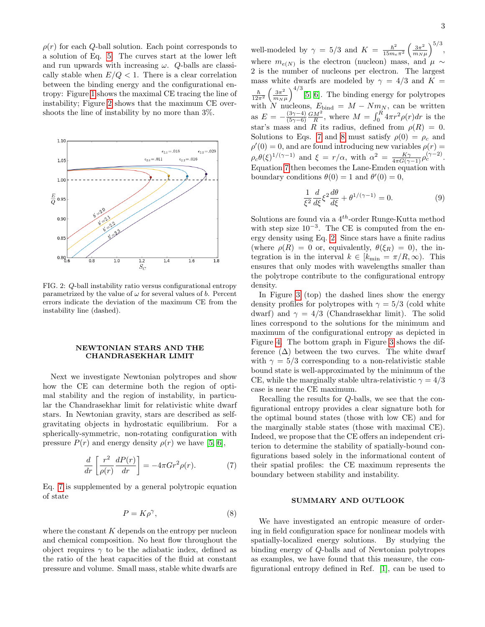$\rho(r)$  for each Q-ball solution. Each point corresponds to a solution of Eq. [5.](#page-2-2) The curves start at the lower left and run upwards with increasing  $\omega$ . Q-balls are classically stable when  $E/Q < 1$ . There is a clear correlation between the binding energy and the configurational entropy: Figure [1](#page-2-3) shows the maximal CE tracing the line of instability; Figure [2](#page-3-0) shows that the maximum CE overshoots the line of instability by no more than 3%.



<span id="page-3-0"></span>FIG. 2: Q-ball instability ratio versus configurational entropy parametrized by the value of  $\omega$  for several values of b. Percent errors indicate the deviation of the maximum CE from the instability line (dashed).

## NEWTONIAN STARS AND THE CHANDRASEKHAR LIMIT

Next we investigate Newtonian polytropes and show how the CE can determine both the region of optimal stability and the region of instability, in particular the Chandrasekhar limit for relativistic white dwarf stars. In Newtonian gravity, stars are described as selfgravitating objects in hydrostatic equilibrium. For a spherically-symmetric, non-rotating configuration with pressure  $P(r)$  and energy density  $\rho(r)$  we have [\[5,](#page-4-6) [6\]](#page-4-7).

<span id="page-3-1"></span>
$$
\frac{d}{dr}\left[\frac{r^2}{\rho(r)}\frac{dP(r)}{dr}\right] = -4\pi G r^2 \rho(r). \tag{7}
$$

Eq. [7](#page-3-1) is supplemented by a general polytropic equation of state

<span id="page-3-2"></span>
$$
P = K\rho^{\gamma},\tag{8}
$$

where the constant  $K$  depends on the entropy per nucleon and chemical composition. No heat flow throughout the object requires  $\gamma$  to be the adiabatic index, defined as the ratio of the heat capacities of the fluid at constant pressure and volume. Small mass, stable white dwarfs are

well-modeled by  $\gamma = 5/3$  and  $K = \frac{\hbar^2}{15m}$  $\frac{\hbar^2}{15m_e\pi^2}\left(\frac{3\pi^2}{m_N}\right)$  $\frac{3\pi^2}{m_N\mu}\Big)^{5/3}$ , where  $m_{e(N)}$  is the electron (nucleon) mass, and  $\mu \sim$ 2 is the number of nucleons per electron. The largest mass white dwarfs are modeled by  $\gamma = 4/3$  and  $\overline{K} =$  $\hbar$  $\frac{\hbar}{12\pi^2} \left( \frac{3\pi^2}{m_N} \right)$  $\frac{3\pi^2}{m_N\mu}\Big]^{4/3}$ [\[5,](#page-4-6) [6\]](#page-4-7). The binding energy for polytropes with N nucleons,  $E_{\text{bind}} = M - Nm_N$ , can be written as  $E = -\frac{(3\gamma - 4)}{(5\gamma - 6)}$  $\frac{(3\gamma-4)}{(5\gamma-6)}\frac{GM^2}{R}$ , where  $M=\int_0^R 4\pi r^2 \rho(r)dr$  is the star's mass and R its radius, defined from  $\rho(R) = 0$ . Solutions to Eqs. [7](#page-3-1) and [8](#page-3-2) must satisfy  $\rho(0) = \rho_c$  and  $\rho'(0) = 0$ , and are found introducing new variables  $\rho(r) =$  $\rho_c\theta(\xi)^{1/(\gamma-1)}$  and  $\xi = r/\alpha$ , with  $\alpha^2 = \frac{K\gamma}{4\pi G(\gamma-1)}\rho_c^{(\gamma-2)}$ . Equation [7](#page-3-1) then becomes the Lane-Emden equation with boundary conditions  $\theta(0) = 1$  and  $\theta'(0) = 0$ ,

$$
\frac{1}{\xi^2} \frac{d}{d\xi} \xi^2 \frac{d\theta}{d\xi} + \theta^{1/(\gamma - 1)} = 0.
$$
 (9)

Solutions are found via a  $4^{th}$ -order Runge-Kutta method with step size 10<sup>−</sup><sup>3</sup> . The CE is computed from the energy density using Eq. [2.](#page-1-0) Since stars have a finite radius (where  $\rho(R) = 0$  or, equivalently,  $\theta(\xi_R) = 0$ ), the integration is in the interval  $k \in [k_{\min} = \pi/R, \infty)$ . This ensures that only modes with wavelengths smaller than the polytrope contribute to the configurational entropy density.

In Figure [3](#page-4-14) (top) the dashed lines show the energy density profiles for polytropes with  $\gamma = 5/3$  (cold white dwarf) and  $\gamma = 4/3$  (Chandrasekhar limit). The solid lines correspond to the solutions for the minimum and maximum of the configurational entropy as depicted in Figure [4.](#page-4-15) The bottom graph in Figure [3](#page-4-14) shows the difference  $(\Delta)$  between the two curves. The white dwarf with  $\gamma = 5/3$  corresponding to a non-relativistic stable bound state is well-approximated by the minimum of the CE, while the marginally stable ultra-relativistic  $\gamma = 4/3$ case is near the CE maximum.

Recalling the results for Q-balls, we see that the configurational entropy provides a clear signature both for the optimal bound states (those with low CE) and for the marginally stable states (those with maximal CE). Indeed, we propose that the CE offers an independent criterion to determine the stability of spatially-bound configurations based solely in the informational content of their spatial profiles: the CE maximum represents the boundary between stability and instability.

## SUMMARY AND OUTLOOK

We have investigated an entropic measure of ordering in field configuration space for nonlinear models with spatially-localized energy solutions. By studying the binding energy of Q-balls and of Newtonian polytropes as examples, we have found that this measure, the configurational entropy defined in Ref. [\[1\]](#page-4-2), can be used to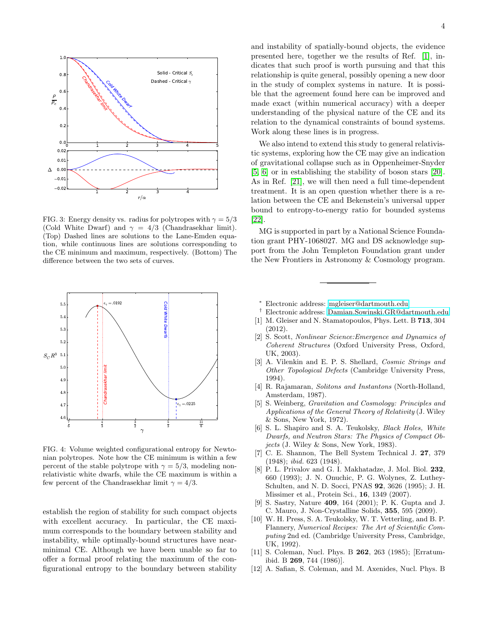

<span id="page-4-14"></span>FIG. 3: Energy density vs. radius for polytropes with  $\gamma = 5/3$ (Cold White Dwarf) and  $\gamma = 4/3$  (Chandrasekhar limit). (Top) Dashed lines are solutions to the Lane-Emden equation, while continuous lines are solutions corresponding to the CE minimum and maximum, respectively. (Bottom) The difference between the two sets of curves.



<span id="page-4-15"></span>FIG. 4: Volume weighted configurational entropy for Newtonian polytropes. Note how the CE minimum is within a few percent of the stable polytrope with  $\gamma = 5/3$ , modeling nonrelativistic white dwarfs, while the CE maximum is within a few percent of the Chandrasekhar limit  $\gamma = 4/3$ .

establish the region of stability for such compact objects with excellent accuracy. In particular, the CE maximum corresponds to the boundary between stability and instability, while optimally-bound structures have nearminimal CE. Although we have been unable so far to offer a formal proof relating the maximum of the configurational entropy to the boundary between stability and instability of spatially-bound objects, the evidence presented here, together we the results of Ref. [\[1\]](#page-4-2), indicates that such proof is worth pursuing and that this relationship is quite general, possibly opening a new door in the study of complex systems in nature. It is possible that the agreement found here can be improved and made exact (within numerical accuracy) with a deeper understanding of the physical nature of the CE and its relation to the dynamical constraints of bound systems. Work along these lines is in progress.

We also intend to extend this study to general relativistic systems, exploring how the CE may give an indication of gravitational collapse such as in Oppenheimer-Snyder [\[5,](#page-4-6) [6\]](#page-4-7) or in establishing the stability of boson stars [\[20\]](#page-5-3). As in Ref. [\[21\]](#page-5-4), we will then need a full time-dependent treatment. It is an open question whether there is a relation between the CE and Bekenstein's universal upper bound to entropy-to-energy ratio for bounded systems [\[22\]](#page-5-5).

MG is supported in part by a National Science Foundation grant PHY-1068027. MG and DS acknowledge support from the John Templeton Foundation grant under the New Frontiers in Astronomy & Cosmology program.

- <span id="page-4-0"></span><sup>∗</sup> Electronic address: [mgleiser@dartmouth.edu](mailto:mgleiser@dartmouth.edu)
- <span id="page-4-1"></span>† Electronic address: [Damian.Sowinski.GR@dartmouth.edu](mailto:Damian.Sowinski.GR@dartmouth.edu)
- <span id="page-4-2"></span>[1] M. Gleiser and N. Stamatopoulos, Phys. Lett. B 713, 304 (2012).
- <span id="page-4-3"></span>[2] S. Scott, Nonlinear Science:Emergence and Dynamics of Coherent Structures (Oxford University Press, Oxford, UK, 2003).
- <span id="page-4-4"></span>[3] A. Vilenkin and E. P. S. Shellard, Cosmic Strings and Other Topological Defects (Cambridge University Press, 1994).
- <span id="page-4-5"></span>[4] R. Rajamaran, Solitons and Instantons (North-Holland, Amsterdam, 1987).
- <span id="page-4-6"></span>[5] S. Weinberg, Gravitation and Cosmology: Principles and Applications of the General Theory of Relativity (J. Wiley & Sons, New York, 1972).
- <span id="page-4-7"></span>[6] S. L. Shapiro and S. A. Teukolsky, Black Holes, White Dwarfs, and Neutron Stars: The Physics of Compact Objects (J. Wiley & Sons, New York, 1983).
- <span id="page-4-9"></span>[7] C. E. Shannon, The Bell System Technical J. 27, 379 (1948); ibid. 623 (1948).
- <span id="page-4-10"></span>[8] P. L. Privalov and G. I. Makhatadze, J. Mol. Biol. 232, 660 (1993); J. N. Onuchic, P. G. Wolynes, Z. Luthey-Schulten, and N. D. Socci, PNAS 92, 3626 (1995); J. H. Missimer et al., Protein Sci., 16, 1349 (2007).
- <span id="page-4-11"></span>[9] S. Sastry, Nature 409, 164 (2001); P. K. Gupta and J. C. Mauro, J. Non-Crystalline Solids, 355, 595 (2009).
- <span id="page-4-13"></span>[10] W. H. Press, S. A. Teukolsky, W. T. Vetterling, and B. P. Flannery, Numerical Recipes: The Art of Scientific Computing 2nd ed. (Cambridge University Press, Cambridge, UK, 1992).
- <span id="page-4-8"></span>[11] S. Coleman, Nucl. Phys. B 262, 263 (1985); [Erratumibid. B 269, 744 (1986)].
- <span id="page-4-12"></span>[12] A. Safian, S. Coleman, and M. Axenides, Nucl. Phys. B